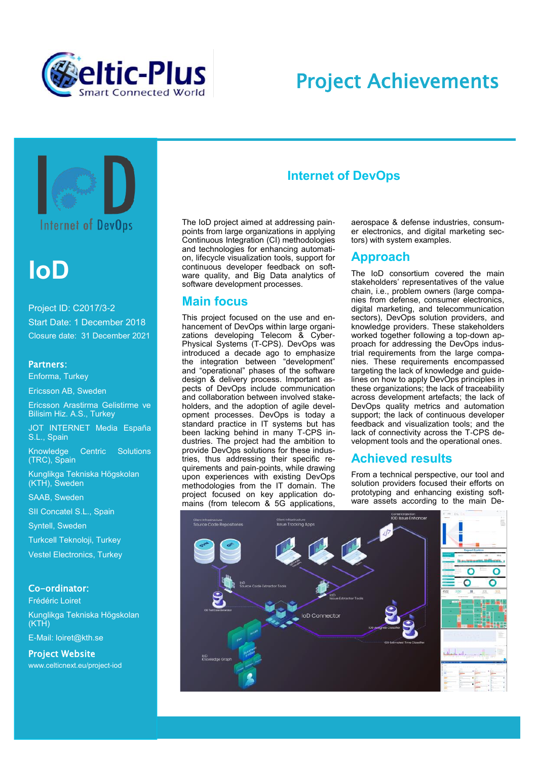

## Project Achievements



**Internet of DevOps** 

# **IoD**

Project ID: C2017/3-2 Start Date: 1 December 2018 Closure date: 31 December 2021

#### Partners:

Enforma, Turkey

Ericsson AB, Sweden

Ericsson Arastirma Gelistirme ve Bilisim Hiz. A.S., Turkey

JOT INTERNET Media España S.L., Spain

Knowledge Centric Solutions (TRC), Spain

Kunglikga Tekniska Högskolan (KTH), Sweden

SAAB, Sweden

SII Concatel S.L., Spain

Syntell, Sweden

Turkcell Teknoloji, Turkey

Vestel Electronics, Turkey

#### Co-ordinator:

Frédéric Loiret Kunglikga Tekniska Högskolan (KTH)

E-Mail: loiret@kth.se

Project Website www.celticnext.eu/project-iod

## **Internet of DevOps**

The IoD project aimed at addressing painpoints from large organizations in applying Continuous Integration (CI) methodologies and technologies for enhancing automation, lifecycle visualization tools, support for continuous developer feedback on software quality, and Big Data analytics of software development processes.

#### **Main focus**

This project focused on the use and enhancement of DevOps within large organizations developing Telecom & Cyber-Physical Systems (T-CPS). DevOps was introduced a decade ago to emphasize the integration between "development" and "operational" phases of the software design & delivery process. Important aspects of DevOps include communication and collaboration between involved stakeholders, and the adoption of agile development processes. DevOps is today a standard practice in IT systems but has been lacking behind in many T-CPS industries. The project had the ambition to provide DevOps solutions for these industries, thus addressing their specific requirements and pain-points, while drawing upon experiences with existing DevOps methodologies from the IT domain. The project focused on key application domains (from telecom & 5G applications, aerospace & defense industries, consumer electronics, and digital marketing sectors) with system examples.

### **Approach**

The IoD consortium covered the main stakeholders' representatives of the value chain, i.e., problem owners (large companies from defense, consumer electronics, digital marketing, and telecommunication sectors), DevOps solution providers, and knowledge providers. These stakeholders worked together following a top-down approach for addressing the DevOps industrial requirements from the large companies. These requirements encompassed targeting the lack of knowledge and guidelines on how to apply DevOps principles in these organizations; the lack of traceability across development artefacts; the lack of DevOps quality metrics and automation support; the lack of continuous developer feedback and visualization tools; and the lack of connectivity across the T-CPS development tools and the operational ones.

### **Achieved results**

From a technical perspective, our tool and solution providers focused their efforts on prototyping and enhancing existing software assets according to the main De-